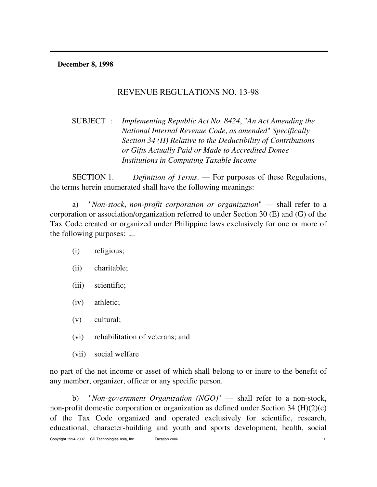**December 8, 1998**

## REVENUE REGULATIONS NO. 13-98

SUBJECT : *Implementing Republic Act No*. *8424*, "*An Act Amending the National Internal Revenue Code*, *as amended*" *Specifically Section 34 (H) Relative to the Deductibility of Contributions or Gifts Actually Paid or Made to Accredited Donee Institutions in Computing Taxable Income*

SECTION 1. *Definition of Terms*. — For purposes of these Regulations, the terms herein enumerated shall have the following meanings:

a) "*Non-stock*, *non-profit corporation or organization*" — shall refer to a corporation or association/organization referred to under Section 30 (E) and (G) of the Tax Code created or organized under Philippine laws exclusively for one or more of the following purposes: cdasia

- (i) religious;
- (ii) charitable;
- (iii) scientific;
- (iv) athletic;
- (v) cultural;
- (vi) rehabilitation of veterans; and
- (vii) social welfare

no part of the net income or asset of which shall belong to or inure to the benefit of any member, organizer, officer or any specific person.

b) "*Non-government Organization (NGO)*" — shall refer to a non-stock, non-profit domestic corporation or organization as defined under Section 34 (H)(2)(c) of the Tax Code organized and operated exclusively for scientific, research, educational, character-building and youth and sports development, health, social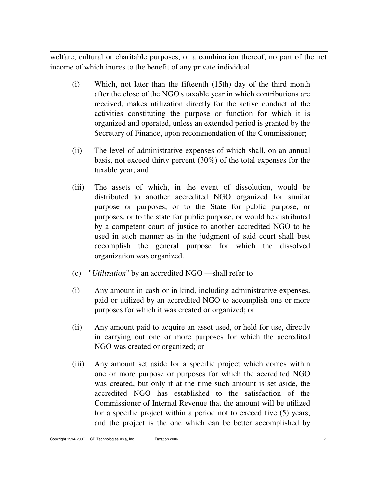welfare, cultural or charitable purposes, or a combination thereof, no part of the net income of which inures to the benefit of any private individual.

- (i) Which, not later than the fifteenth (15th) day of the third month after the close of the NGO's taxable year in which contributions are received, makes utilization directly for the active conduct of the activities constituting the purpose or function for which it is organized and operated, unless an extended period is granted by the Secretary of Finance, upon recommendation of the Commissioner;
- (ii) The level of administrative expenses of which shall, on an annual basis, not exceed thirty percent (30%) of the total expenses for the taxable year; and
- (iii) The assets of which, in the event of dissolution, would be distributed to another accredited NGO organized for similar purpose or purposes, or to the State for public purpose, or purposes, or to the state for public purpose, or would be distributed by a competent court of justice to another accredited NGO to be used in such manner as in the judgment of said court shall best accomplish the general purpose for which the dissolved organization was organized.
- (c) "*Utilization*" by an accredited NGO shall refer to
- (i) Any amount in cash or in kind, including administrative expenses, paid or utilized by an accredited NGO to accomplish one or more purposes for which it was created or organized; or
- (ii) Any amount paid to acquire an asset used, or held for use, directly in carrying out one or more purposes for which the accredited NGO was created or organized; or
- (iii) Any amount set aside for a specific project which comes within one or more purpose or purposes for which the accredited NGO was created, but only if at the time such amount is set aside, the accredited NGO has established to the satisfaction of the Commissioner of Internal Revenue that the amount will be utilized for a specific project within a period not to exceed five (5) years, and the project is the one which can be better accomplished by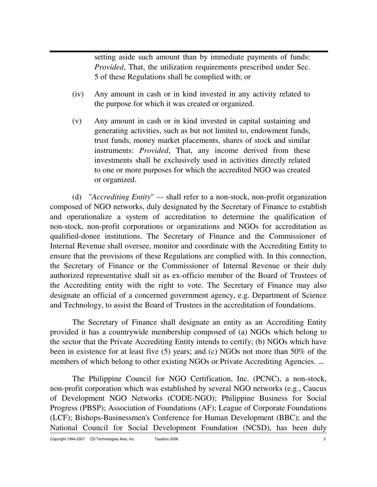setting aside such amount than by immediate payments of funds: *Provided*, That, the utilization requirements prescribed under Sec. 5 of these Regulations shall be complied with; or

- (iv) Any amount in cash or in kind invested in any activity related to the purpose for which it was created or organized.
- (v) Any amount in cash or in kind invested in capital sustaining and generating activities, such as but not limited to, endowment funds, trust funds, money market placements, shares of stock and similar instruments: *Provided*, That, any income derived from these investments shall be exclusively used in activities directly related to one or more purposes for which the accredited NGO was created or organized.

(d) "*Accrediting Entity*" *—* shall refer to a non-stock, non-profit organization composed of NGO networks, duly designated by the Secretary of Finance to establish and operationalize a system of accreditation to determine the qualification of non-stock, non-profit corporations or organizations and NGOs for accreditation as qualified-donee institutions. The Secretary of Finance and the Commissioner of Internal Revenue shall oversee, monitor and coordinate with the Accrediting Entity to ensure that the provisions of these Regulations are complied with. In this connection, the Secretary of Finance or the Commissioner of Internal Revenue or their duly authorized representative shall sit as ex-officio member of the Board of Trustees of the Accrediting entity with the right to vote. The Secretary of Finance may also designate an official of a concerned government agency, e.g. Department of Science and Technology, to assist the Board of Trustees in the accreditation of foundations.

The Secretary of Finance shall designate an entity as an Accrediting Entity provided it has a countrywide membership composed of (a) NGOs which belong to the sector that the Private Accrediting Entity intends to certify; (b) NGOs which have been in existence for at least five (5) years; and (c) NGOs not more than 50% of the members of which belong to other existing NGOs or Private Accrediting Agencies.

The Philippine Council for NGO Certification, Inc. (PCNC), a non-stock, non-profit corporation which was established by several NGO networks (e.g., Caucus of Development NGO Networks (CODE-NGO); Philippine Business for Social Progress (PBSP); Association of Foundations (AF); League of Corporate Foundations (LCF); Bishops-Businessmen's Conference for Human Development (BBC); and the National Council for Social Development Foundation (NCSD), has been duly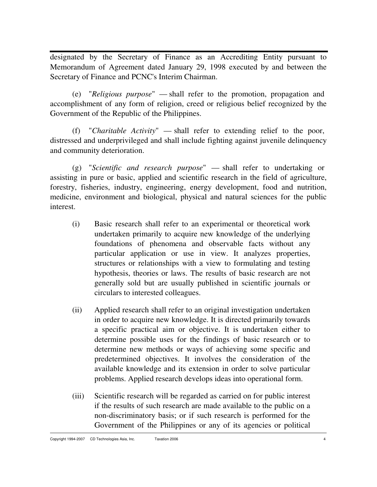designated by the Secretary of Finance as an Accrediting Entity pursuant to Memorandum of Agreement dated January 29, 1998 executed by and between the Secretary of Finance and PCNC's Interim Chairman.

(e) "*Religious purpose*" — shall refer to the promotion, propagation and accomplishment of any form of religion, creed or religious belief recognized by the Government of the Republic of the Philippines.

(f) "*Charitable Activity*" — shall refer to extending relief to the poor, distressed and underprivileged and shall include fighting against juvenile delinquency and community deterioration.

(g) "*Scientific and research purpose*" — shall refer to undertaking or assisting in pure or basic, applied and scientific research in the field of agriculture, forestry, fisheries, industry, engineering, energy development, food and nutrition, medicine, environment and biological, physical and natural sciences for the public interest.

- (i) Basic research shall refer to an experimental or theoretical work undertaken primarily to acquire new knowledge of the underlying foundations of phenomena and observable facts without any particular application or use in view. It analyzes properties, structures or relationships with a view to formulating and testing hypothesis, theories or laws. The results of basic research are not generally sold but are usually published in scientific journals or circulars to interested colleagues.
- (ii) Applied research shall refer to an original investigation undertaken in order to acquire new knowledge. It is directed primarily towards a specific practical aim or objective. It is undertaken either to determine possible uses for the findings of basic research or to determine new methods or ways of achieving some specific and predetermined objectives. It involves the consideration of the available knowledge and its extension in order to solve particular problems. Applied research develops ideas into operational form.
- (iii) Scientific research will be regarded as carried on for public interest if the results of such research are made available to the public on a non-discriminatory basis; or if such research is performed for the Government of the Philippines or any of its agencies or political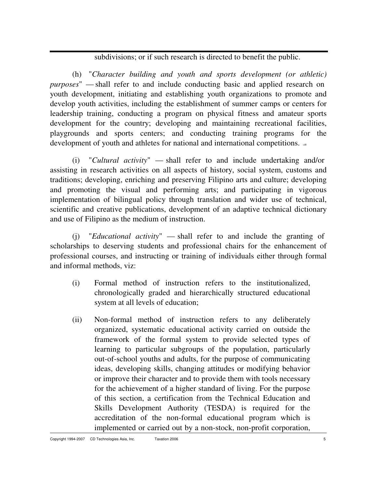subdivisions; or if such research is directed to benefit the public.

(h) "*Character building and youth and sports development (or athletic) purposes*" — shall refer to and include conducting basic and applied research on youth development, initiating and establishing youth organizations to promote and develop youth activities, including the establishment of summer camps or centers for leadership training, conducting a program on physical fitness and amateur sports development for the country; developing and maintaining recreational facilities, playgrounds and sports centers; and conducting training programs for the development of youth and athletes for national and international competitions.

(i) "*Cultural activity*" — shall refer to and include undertaking and/or assisting in research activities on all aspects of history, social system, customs and traditions; developing, enriching and preserving Filipino arts and culture; developing and promoting the visual and performing arts; and participating in vigorous implementation of bilingual policy through translation and wider use of technical, scientific and creative publications, development of an adaptive technical dictionary and use of Filipino as the medium of instruction.

(j) "*Educational activity*" — shall refer to and include the granting of scholarships to deserving students and professional chairs for the enhancement of professional courses, and instructing or training of individuals either through formal and informal methods, viz:

- (i) Formal method of instruction refers to the institutionalized, chronologically graded and hierarchically structured educational system at all levels of education;
- (ii) Non-formal method of instruction refers to any deliberately organized, systematic educational activity carried on outside the framework of the formal system to provide selected types of learning to particular subgroups of the population, particularly out-of-school youths and adults, for the purpose of communicating ideas, developing skills, changing attitudes or modifying behavior or improve their character and to provide them with tools necessary for the achievement of a higher standard of living. For the purpose of this section, a certification from the Technical Education and Skills Development Authority (TESDA) is required for the accreditation of the non-formal educational program which is implemented or carried out by a non-stock, non-profit corporation,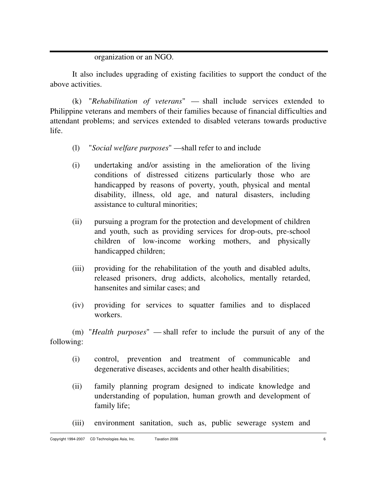#### organization or an NGO.

It also includes upgrading of existing facilities to support the conduct of the above activities.

(k) "*Rehabilitation of veterans*" — shall include services extended to Philippine veterans and members of their families because of financial difficulties and attendant problems; and services extended to disabled veterans towards productive life.

- (l) "*Social welfare purposes*" shall refer to and include
- (i) undertaking and/or assisting in the amelioration of the living conditions of distressed citizens particularly those who are handicapped by reasons of poverty, youth, physical and mental disability, illness, old age, and natural disasters, including assistance to cultural minorities;
- (ii) pursuing a program for the protection and development of children and youth, such as providing services for drop-outs, pre-school children of low-income working mothers, and physically handicapped children;
- (iii) providing for the rehabilitation of the youth and disabled adults, released prisoners, drug addicts, alcoholics, mentally retarded, hansenites and similar cases; and
- (iv) providing for services to squatter families and to displaced workers.

(m) "*Health purposes*" — shall refer to include the pursuit of any of the following:

- (i) control, prevention and treatment of communicable and degenerative diseases, accidents and other health disabilities;
- (ii) family planning program designed to indicate knowledge and understanding of population, human growth and development of family life;
- (iii) environment sanitation, such as, public sewerage system and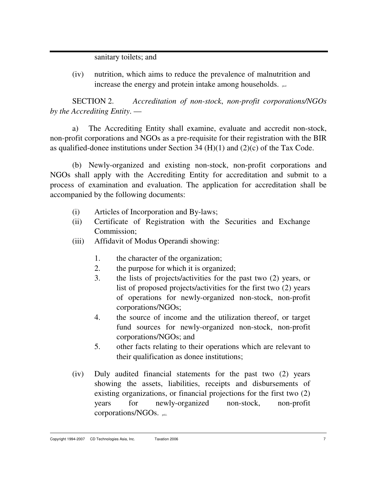sanitary toilets; and

(iv) nutrition, which aims to reduce the prevalence of malnutrition and increase the energy and protein intake among households.  $_{\text{pred}}$ 

SECTION 2. *Accreditation of non-stock*, *non-profit corporations/NGOs by the Accrediting Entity*. —

a) The Accrediting Entity shall examine, evaluate and accredit non-stock, non-profit corporations and NGOs as a pre-requisite for their registration with the BIR as qualified-donee institutions under Section 34  $(H)(1)$  and  $(2)(c)$  of the Tax Code.

(b) Newly-organized and existing non-stock, non-profit corporations and NGOs shall apply with the Accrediting Entity for accreditation and submit to a process of examination and evaluation. The application for accreditation shall be accompanied by the following documents:

- (i) Articles of Incorporation and By-laws;
- (ii) Certificate of Registration with the Securities and Exchange Commission;
- (iii) Affidavit of Modus Operandi showing:
	- 1. the character of the organization;
	- 2. the purpose for which it is organized;
	- 3. the lists of projects/activities for the past two (2) years, or list of proposed projects/activities for the first two (2) years of operations for newly-organized non-stock, non-profit corporations/NGOs;
	- 4. the source of income and the utilization thereof, or target fund sources for newly-organized non-stock, non-profit corporations/NGOs; and
	- 5. other facts relating to their operations which are relevant to their qualification as donee institutions;
- (iv) Duly audited financial statements for the past two (2) years showing the assets, liabilities, receipts and disbursements of existing organizations, or financial projections for the first two (2) years for newly-organized non-stock, non-profit corporations/NGOs.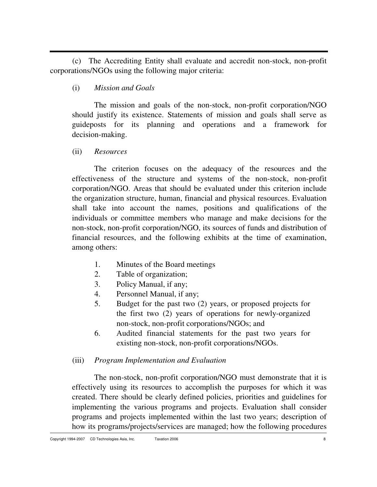(c) The Accrediting Entity shall evaluate and accredit non-stock, non-profit corporations/NGOs using the following major criteria:

(i) *Mission and Goals*

The mission and goals of the non-stock, non-profit corporation/NGO should justify its existence. Statements of mission and goals shall serve as guideposts for its planning and operations and a framework for decision-making.

(ii) *Resources*

The criterion focuses on the adequacy of the resources and the effectiveness of the structure and systems of the non-stock, non-profit corporation/NGO. Areas that should be evaluated under this criterion include the organization structure, human, financial and physical resources. Evaluation shall take into account the names, positions and qualifications of the individuals or committee members who manage and make decisions for the non-stock, non-profit corporation/NGO, its sources of funds and distribution of financial resources, and the following exhibits at the time of examination, among others:

- 1. Minutes of the Board meetings
- 2. Table of organization;
- 3. Policy Manual, if any;
- 4. Personnel Manual, if any;
- 5. Budget for the past two (2) years, or proposed projects for the first two (2) years of operations for newly-organized non-stock, non-profit corporations/NGOs; and
- 6. Audited financial statements for the past two years for existing non-stock, non-profit corporations/NGOs.

#### (iii) *Program Implementation and Evaluation*

The non-stock, non-profit corporation/NGO must demonstrate that it is effectively using its resources to accomplish the purposes for which it was created. There should be clearly defined policies, priorities and guidelines for implementing the various programs and projects. Evaluation shall consider programs and projects implemented within the last two years; description of how its programs/projects/services are managed; how the following procedures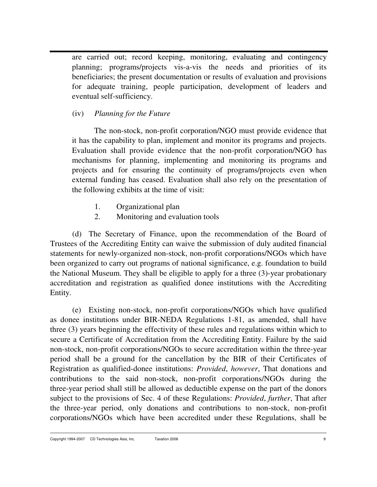are carried out; record keeping, monitoring, evaluating and contingency planning; programs/projects vis-a-vis the needs and priorities of its beneficiaries; the present documentation or results of evaluation and provisions for adequate training, people participation, development of leaders and eventual self-sufficiency.

### (iv) *Planning for the Future*

The non-stock, non-profit corporation/NGO must provide evidence that it has the capability to plan, implement and monitor its programs and projects. Evaluation shall provide evidence that the non-profit corporation/NGO has mechanisms for planning, implementing and monitoring its programs and projects and for ensuring the continuity of programs/projects even when external funding has ceased. Evaluation shall also rely on the presentation of the following exhibits at the time of visit:

- 1. Organizational plan
- 2. Monitoring and evaluation tools

(d) The Secretary of Finance, upon the recommendation of the Board of Trustees of the Accrediting Entity can waive the submission of duly audited financial statements for newly-organized non-stock, non-profit corporations/NGOs which have been organized to carry out programs of national significance, e.g. foundation to build the National Museum. They shall be eligible to apply for a three (3)-year probationary accreditation and registration as qualified donee institutions with the Accrediting Entity.

(e) Existing non-stock, non-profit corporations/NGOs which have qualified as donee institutions under BIR-NEDA Regulations 1-81, as amended, shall have three (3) years beginning the effectivity of these rules and regulations within which to secure a Certificate of Accreditation from the Accrediting Entity. Failure by the said non-stock, non-profit corporations/NGOs to secure accreditation within the three-year period shall be a ground for the cancellation by the BIR of their Certificates of Registration as qualified-donee institutions: *Provided*, *however*, That donations and contributions to the said non-stock, non-profit corporations/NGOs during the three-year period shall still be allowed as deductible expense on the part of the donors subject to the provisions of Sec. 4 of these Regulations: *Provided*, *further*, That after the three-year period, only donations and contributions to non-stock, non-profit corporations/NGOs which have been accredited under these Regulations, shall be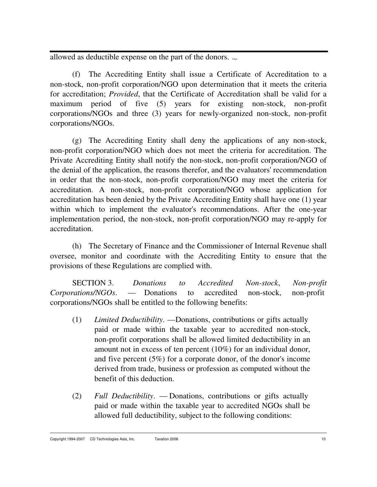allowed as deductible expense on the part of the donors.  $L_{\text{Lip}}$ 

(f) The Accrediting Entity shall issue a Certificate of Accreditation to a non-stock, non-profit corporation/NGO upon determination that it meets the criteria for accreditation; *Provided*, that the Certificate of Accreditation shall be valid for a maximum period of five (5) years for existing non-stock, non-profit corporations/NGOs and three (3) years for newly-organized non-stock, non-profit corporations/NGOs.

(g) The Accrediting Entity shall deny the applications of any non-stock, non-profit corporation/NGO which does not meet the criteria for accreditation. The Private Accrediting Entity shall notify the non-stock, non-profit corporation/NGO of the denial of the application, the reasons therefor, and the evaluators' recommendation in order that the non-stock, non-profit corporation/NGO may meet the criteria for accreditation. A non-stock, non-profit corporation/NGO whose application for accreditation has been denied by the Private Accrediting Entity shall have one (1) year within which to implement the evaluator's recommendations. After the one-year implementation period, the non-stock, non-profit corporation/NGO may re-apply for accreditation.

(h) The Secretary of Finance and the Commissioner of Internal Revenue shall oversee, monitor and coordinate with the Accrediting Entity to ensure that the provisions of these Regulations are complied with.

SECTION 3. *Donations to Accredited Non-stock*, *Non-profit Corporations/NGOs*. — Donations to accredited non-stock, non-profit corporations/NGOs shall be entitled to the following benefits:

- (1) *Limited Deductibility*. Donations, contributions or gifts actually paid or made within the taxable year to accredited non-stock, non-profit corporations shall be allowed limited deductibility in an amount not in excess of ten percent (10%) for an individual donor, and five percent (5%) for a corporate donor, of the donor's income derived from trade, business or profession as computed without the benefit of this deduction.
- (2) *Full Deductibility*. Donations, contributions or gifts actually paid or made within the taxable year to accredited NGOs shall be allowed full deductibility, subject to the following conditions: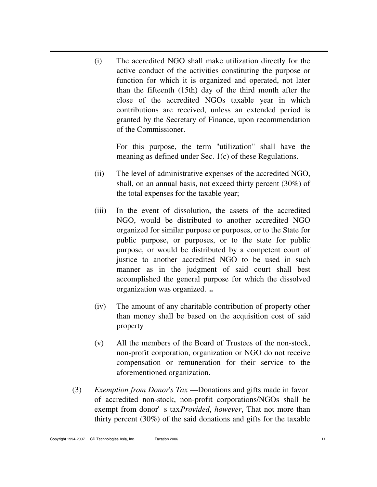(i) The accredited NGO shall make utilization directly for the active conduct of the activities constituting the purpose or function for which it is organized and operated, not later than the fifteenth (15th) day of the third month after the close of the accredited NGOs taxable year in which contributions are received, unless an extended period is granted by the Secretary of Finance, upon recommendation of the Commissioner.

For this purpose, the term "utilization" shall have the meaning as defined under Sec. 1(c) of these Regulations.

- (ii) The level of administrative expenses of the accredited NGO, shall, on an annual basis, not exceed thirty percent (30%) of the total expenses for the taxable year;
- (iii) In the event of dissolution, the assets of the accredited NGO, would be distributed to another accredited NGO organized for similar purpose or purposes, or to the State for public purpose, or purposes, or to the state for public purpose, or would be distributed by a competent court of justice to another accredited NGO to be used in such manner as in the judgment of said court shall best accomplished the general purpose for which the dissolved organization was organized.
- (iv) The amount of any charitable contribution of property other than money shall be based on the acquisition cost of said property
- (v) All the members of the Board of Trustees of the non-stock, non-profit corporation, organization or NGO do not receive compensation or remuneration for their service to the aforementioned organization.
- (3) *Exemption from Donor*'*s Tax* Donations and gifts made in favor of accredited non-stock, non-profit corporations/NGOs shall be exempt from donor's tax*Provided*, *however*, That not more than thirty percent (30%) of the said donations and gifts for the taxable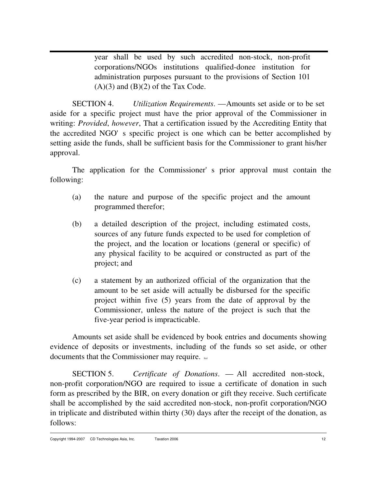year shall be used by such accredited non-stock, non-profit corporations/NGOs institutions qualified-donee institution for administration purposes pursuant to the provisions of Section 101  $(A)(3)$  and  $(B)(2)$  of the Tax Code.

SECTION 4. *Utilization Requirements*. — Amounts set aside or to be set aside for a specific project must have the prior approval of the Commissioner in writing: *Provided*, *however*, That a certification issued by the Accrediting Entity that the accredited NGO's specific project is one which can be better accomplished by setting aside the funds, shall be sufficient basis for the Commissioner to grant his/her approval.

The application for the Commissioner's prior approval must contain the following:

- (a) the nature and purpose of the specific project and the amount programmed therefor;
- (b) a detailed description of the project, including estimated costs, sources of any future funds expected to be used for completion of the project, and the location or locations (general or specific) of any physical facility to be acquired or constructed as part of the project; and
- (c) a statement by an authorized official of the organization that the amount to be set aside will actually be disbursed for the specific project within five (5) years from the date of approval by the Commissioner, unless the nature of the project is such that the five-year period is impracticable.

Amounts set aside shall be evidenced by book entries and documents showing evidence of deposits or investments, including of the funds so set aside, or other documents that the Commissioner may require.

SECTION 5. *Certificate of Donations*. — All accredited non-stock, non-profit corporation/NGO are required to issue a certificate of donation in such form as prescribed by the BIR, on every donation or gift they receive. Such certificate shall be accomplished by the said accredited non-stock, non-profit corporation/NGO in triplicate and distributed within thirty (30) days after the receipt of the donation, as follows: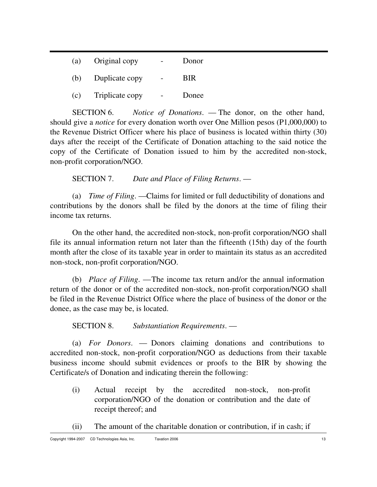| (a) | Original copy   | Donor      |
|-----|-----------------|------------|
| (b) | Duplicate copy  | <b>BIR</b> |
| (c) | Triplicate copy | Donee      |

SECTION 6. *Notice of Donations*. — The donor, on the other hand, should give a *notice* for every donation worth over One Million pesos (P1,000,000) to the Revenue District Officer where his place of business is located within thirty (30) days after the receipt of the Certificate of Donation attaching to the said notice the copy of the Certificate of Donation issued to him by the accredited non-stock, non-profit corporation/NGO.

SECTION 7. *Date and Place of Filing Returns*. —

(a) *Time of Filing*. — Claims for limited or full deductibility of donations and contributions by the donors shall be filed by the donors at the time of filing their income tax returns.

On the other hand, the accredited non-stock, non-profit corporation/NGO shall file its annual information return not later than the fifteenth (15th) day of the fourth month after the close of its taxable year in order to maintain its status as an accredited non-stock, non-profit corporation/NGO.

(b) *Place of Filing*. — The income tax return and/or the annual information return of the donor or of the accredited non-stock, non-profit corporation/NGO shall be filed in the Revenue District Office where the place of business of the donor or the donee, as the case may be, is located.

SECTION 8. *Substantiation Requirements*. —

(a) *For Donors*. — Donors claiming donations and contributions to accredited non-stock, non-profit corporation/NGO as deductions from their taxable business income should submit evidences or proofs to the BIR by showing the Certificate/s of Donation and indicating therein the following:

- (i) Actual receipt by the accredited non-stock, non-profit corporation/NGO of the donation or contribution and the date of receipt thereof; and
- (ii) The amount of the charitable donation or contribution, if in cash; if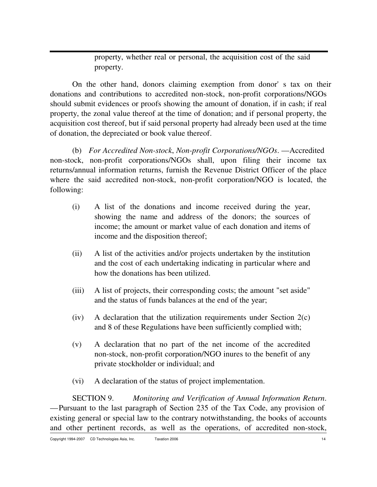property, whether real or personal, the acquisition cost of the said property.

On the other hand, donors claiming exemption from donor's tax on their donations and contributions to accredited non-stock, non-profit corporations/NGOs should submit evidences or proofs showing the amount of donation, if in cash; if real property, the zonal value thereof at the time of donation; and if personal property, the acquisition cost thereof, but if said personal property had already been used at the time of donation, the depreciated or book value thereof.

(b) *For Accredited Non-stock*, *Non-profit Corporations/NGOs*. — Accredited non-stock, non-profit corporations/NGOs shall, upon filing their income tax returns/annual information returns, furnish the Revenue District Officer of the place where the said accredited non-stock, non-profit corporation/NGO is located, the following:

- (i) A list of the donations and income received during the year, showing the name and address of the donors; the sources of income; the amount or market value of each donation and items of income and the disposition thereof;
- (ii) A list of the activities and/or projects undertaken by the institution and the cost of each undertaking indicating in particular where and how the donations has been utilized.
- (iii) A list of projects, their corresponding costs; the amount "set aside" and the status of funds balances at the end of the year;
- (iv) A declaration that the utilization requirements under Section 2(c) and 8 of these Regulations have been sufficiently complied with;
- (v) A declaration that no part of the net income of the accredited non-stock, non-profit corporation/NGO inures to the benefit of any private stockholder or individual; and
- (vi) A declaration of the status of project implementation.

SECTION 9. *Monitoring and Verification of Annual Information Return*. — Pursuant to the last paragraph of Section 235 of the Tax Code, any provision of existing general or special law to the contrary notwithstanding, the books of accounts and other pertinent records, as well as the operations, of accredited non-stock,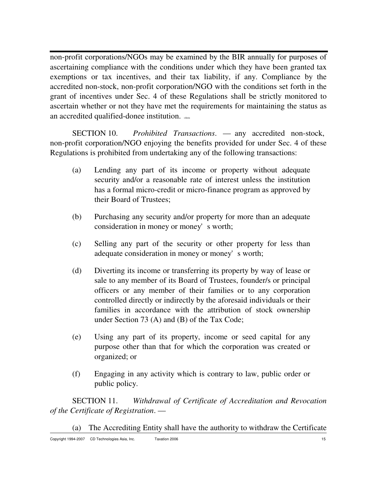non-profit corporations/NGOs may be examined by the BIR annually for purposes of ascertaining compliance with the conditions under which they have been granted tax exemptions or tax incentives, and their tax liability, if any. Compliance by the accredited non-stock, non-profit corporation/NGO with the conditions set forth in the grant of incentives under Sec. 4 of these Regulations shall be strictly monitored to ascertain whether or not they have met the requirements for maintaining the status as an accredited qualified-donee institution. cdasia

SECTION 10. *Prohibited Transactions*. — any accredited non-stock, non-profit corporation/NGO enjoying the benefits provided for under Sec. 4 of these Regulations is prohibited from undertaking any of the following transactions:

- (a) Lending any part of its income or property without adequate security and/or a reasonable rate of interest unless the institution has a formal micro-credit or micro-finance program as approved by their Board of Trustees;
- (b) Purchasing any security and/or property for more than an adequate consideration in money or money's worth;
- (c) Selling any part of the security or other property for less than adequate consideration in money or money's worth;
- (d) Diverting its income or transferring its property by way of lease or sale to any member of its Board of Trustees, founder/s or principal officers or any member of their families or to any corporation controlled directly or indirectly by the aforesaid individuals or their families in accordance with the attribution of stock ownership under Section 73 (A) and (B) of the Tax Code;
- (e) Using any part of its property, income or seed capital for any purpose other than that for which the corporation was created or organized; or
- (f) Engaging in any activity which is contrary to law, public order or public policy.

SECTION 11. *Withdrawal of Certificate of Accreditation and Revocation of the Certificate of Registration*. —

Copyright 1994-2007 CD Technologies Asia, Inc. Taxation 2006 15 and the control of the control of the control of the control of the control of the control of the control of the control of the control of the control of the (a) The Accrediting Entity shall have the authority to withdraw the Certificate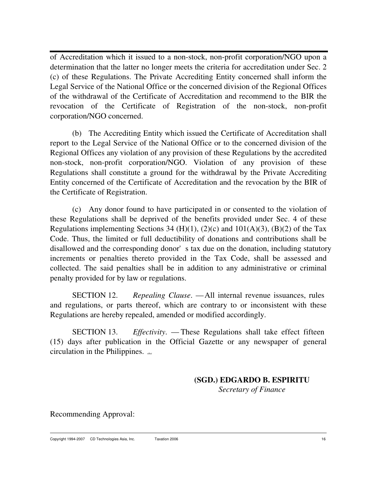of Accreditation which it issued to a non-stock, non-profit corporation/NGO upon a determination that the latter no longer meets the criteria for accreditation under Sec. 2 (c) of these Regulations. The Private Accrediting Entity concerned shall inform the Legal Service of the National Office or the concerned division of the Regional Offices of the withdrawal of the Certificate of Accreditation and recommend to the BIR the revocation of the Certificate of Registration of the non-stock, non-profit corporation/NGO concerned.

(b) The Accrediting Entity which issued the Certificate of Accreditation shall report to the Legal Service of the National Office or to the concerned division of the Regional Offices any violation of any provision of these Regulations by the accredited non-stock, non-profit corporation/NGO. Violation of any provision of these Regulations shall constitute a ground for the withdrawal by the Private Accrediting Entity concerned of the Certificate of Accreditation and the revocation by the BIR of the Certificate of Registration.

(c) Any donor found to have participated in or consented to the violation of these Regulations shall be deprived of the benefits provided under Sec. 4 of these Regulations implementing Sections 34 (H)(1), (2)(c) and  $101(A)(3)$ , (B)(2) of the Tax Code. Thus, the limited or full deductibility of donations and contributions shall be disallowed and the corresponding donor's tax due on the donation, including statutory increments or penalties thereto provided in the Tax Code, shall be assessed and collected. The said penalties shall be in addition to any administrative or criminal penalty provided for by law or regulations.

SECTION 12. *Repealing Clause*. — All internal revenue issuances, rules and regulations, or parts thereof, which are contrary to or inconsistent with these Regulations are hereby repealed, amended or modified accordingly.

SECTION 13. *Effectivity*. — These Regulations shall take effect fifteen (15) days after publication in the Official Gazette or any newspaper of general circulation in the Philippines. cdtai

> **(SGD.) EDGARDO B. ESPIRITU** *Secretary of Finance*

Recommending Approval: